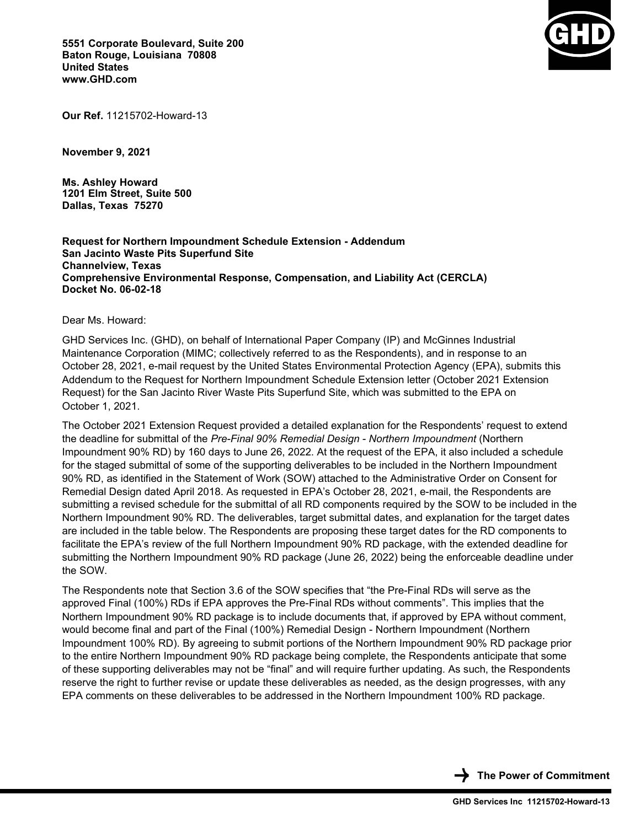

**Our Ref.** 11215702-Howard-13

**November 9, 2021**

**Ms. Ashley Howard 1201 Elm Street, Suite 500 Dallas, Texas 75270**

**Request for Northern Impoundment Schedule Extension - Addendum San Jacinto Waste Pits Superfund Site Channelview, Texas Comprehensive Environmental Response, Compensation, and Liability Act (CERCLA) Docket No. 06-02-18**

Dear Ms. Howard:

GHD Services Inc. (GHD), on behalf of International Paper Company (IP) and McGinnes Industrial Maintenance Corporation (MIMC; collectively referred to as the Respondents), and in response to an October 28, 2021, e-mail request by the United States Environmental Protection Agency (EPA), submits this Addendum to the Request for Northern Impoundment Schedule Extension letter (October 2021 Extension Request) for the San Jacinto River Waste Pits Superfund Site, which was submitted to the EPA on October 1, 2021.

The October 2021 Extension Request provided a detailed explanation for the Respondents' request to extend the deadline for submittal of the *Pre-Final 90% Remedial Design - Northern Impoundment* (Northern Impoundment 90% RD) by 160 days to June 26, 2022. At the request of the EPA, it also included a schedule for the staged submittal of some of the supporting deliverables to be included in the Northern Impoundment 90% RD, as identified in the Statement of Work (SOW) attached to the Administrative Order on Consent for Remedial Design dated April 2018. As requested in EPA's October 28, 2021, e-mail, the Respondents are submitting a revised schedule for the submittal of all RD components required by the SOW to be included in the Northern Impoundment 90% RD. The deliverables, target submittal dates, and explanation for the target dates are included in the table below. The Respondents are proposing these target dates for the RD components to facilitate the EPA's review of the full Northern Impoundment 90% RD package, with the extended deadline for submitting the Northern Impoundment 90% RD package (June 26, 2022) being the enforceable deadline under the SOW.

The Respondents note that Section 3.6 of the SOW specifies that "the Pre-Final RDs will serve as the approved Final (100%) RDs if EPA approves the Pre-Final RDs without comments". This implies that the Northern Impoundment 90% RD package is to include documents that, if approved by EPA without comment, would become final and part of the Final (100%) Remedial Design - Northern Impoundment (Northern Impoundment 100% RD). By agreeing to submit portions of the Northern Impoundment 90% RD package prior to the entire Northern Impoundment 90% RD package being complete, the Respondents anticipate that some of these supporting deliverables may not be "final" and will require further updating. As such, the Respondents reserve the right to further revise or update these deliverables as needed, as the design progresses, with any EPA comments on these deliverables to be addressed in the Northern Impoundment 100% RD package.

**The Power of Commitment**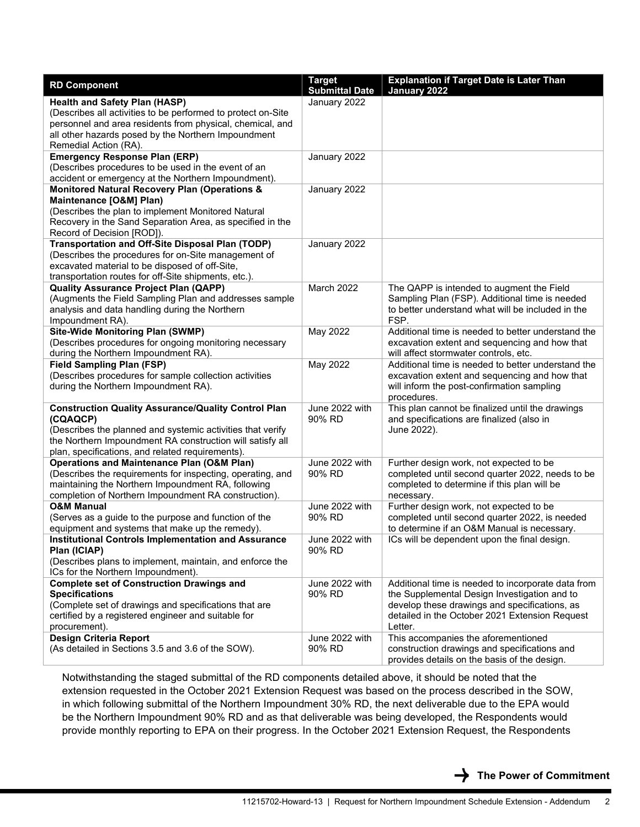| <b>Health and Safety Plan (HASP)</b><br>January 2022                                                                                                           |  |
|----------------------------------------------------------------------------------------------------------------------------------------------------------------|--|
| (Describes all activities to be performed to protect on-Site                                                                                                   |  |
| personnel and area residents from physical, chemical, and                                                                                                      |  |
| all other hazards posed by the Northern Impoundment                                                                                                            |  |
| Remedial Action (RA).                                                                                                                                          |  |
| <b>Emergency Response Plan (ERP)</b><br>January 2022                                                                                                           |  |
| (Describes procedures to be used in the event of an                                                                                                            |  |
| accident or emergency at the Northern Impoundment).                                                                                                            |  |
| <b>Monitored Natural Recovery Plan (Operations &amp;</b><br>January 2022                                                                                       |  |
| Maintenance [O&M] Plan)                                                                                                                                        |  |
| (Describes the plan to implement Monitored Natural                                                                                                             |  |
| Recovery in the Sand Separation Area, as specified in the                                                                                                      |  |
| Record of Decision [ROD]).                                                                                                                                     |  |
| Transportation and Off-Site Disposal Plan (TODP)<br>January 2022                                                                                               |  |
| (Describes the procedures for on-Site management of                                                                                                            |  |
| excavated material to be disposed of off-Site,                                                                                                                 |  |
| transportation routes for off-Site shipments, etc.).                                                                                                           |  |
| March 2022<br><b>Quality Assurance Project Plan (QAPP)</b><br>The QAPP is intended to augment the Field                                                        |  |
| (Augments the Field Sampling Plan and addresses sample<br>Sampling Plan (FSP). Additional time is needed                                                       |  |
| analysis and data handling during the Northern<br>to better understand what will be included in the                                                            |  |
| FSP.<br>Impoundment RA).                                                                                                                                       |  |
| <b>Site-Wide Monitoring Plan (SWMP)</b><br>May 2022<br>Additional time is needed to better understand the                                                      |  |
| (Describes procedures for ongoing monitoring necessary<br>excavation extent and sequencing and how that                                                        |  |
| during the Northern Impoundment RA).<br>will affect stormwater controls, etc.                                                                                  |  |
| <b>Field Sampling Plan (FSP)</b><br>May 2022<br>Additional time is needed to better understand the                                                             |  |
| (Describes procedures for sample collection activities<br>excavation extent and sequencing and how that                                                        |  |
| during the Northern Impoundment RA).<br>will inform the post-confirmation sampling                                                                             |  |
| procedures.                                                                                                                                                    |  |
| June 2022 with<br>This plan cannot be finalized until the drawings<br><b>Construction Quality Assurance/Quality Control Plan</b>                               |  |
| 90% RD<br>(CQAQCP)<br>and specifications are finalized (also in                                                                                                |  |
| (Describes the planned and systemic activities that verify<br>June 2022).                                                                                      |  |
| the Northern Impoundment RA construction will satisfy all                                                                                                      |  |
| plan, specifications, and related requirements).                                                                                                               |  |
| <b>Operations and Maintenance Plan (O&amp;M Plan)</b><br>June 2022 with<br>Further design work, not expected to be                                             |  |
| completed until second quarter 2022, needs to be<br>(Describes the requirements for inspecting, operating, and<br>90% RD                                       |  |
| completed to determine if this plan will be<br>maintaining the Northern Impoundment RA, following                                                              |  |
| completion of Northern Impoundment RA construction).<br>necessary.                                                                                             |  |
| Further design work, not expected to be<br>June 2022 with<br><b>O&amp;M Manual</b>                                                                             |  |
| 90% RD<br>completed until second quarter 2022, is needed<br>(Serves as a guide to the purpose and function of the                                              |  |
| equipment and systems that make up the remedy).<br>to determine if an O&M Manual is necessary.                                                                 |  |
| <b>Institutional Controls Implementation and Assurance</b><br>June 2022 with<br>ICs will be dependent upon the final design.                                   |  |
| Plan (ICIAP)<br>90% RD                                                                                                                                         |  |
| (Describes plans to implement, maintain, and enforce the                                                                                                       |  |
| ICs for the Northern Impoundment).                                                                                                                             |  |
| <b>Complete set of Construction Drawings and</b><br>June 2022 with<br>Additional time is needed to incorporate data from                                       |  |
| <b>Specifications</b><br>90% RD<br>the Supplemental Design Investigation and to                                                                                |  |
| (Complete set of drawings and specifications that are<br>develop these drawings and specifications, as                                                         |  |
| certified by a registered engineer and suitable for<br>detailed in the October 2021 Extension Request                                                          |  |
| procurement).<br>Letter.<br>This accompanies the aforementioned                                                                                                |  |
| <b>Design Criteria Report</b><br>June 2022 with<br>(As detailed in Sections 3.5 and 3.6 of the SOW).<br>90% RD<br>construction drawings and specifications and |  |
| provides details on the basis of the design.                                                                                                                   |  |

Notwithstanding the staged submittal of the RD components detailed above, it should be noted that the extension requested in the October 2021 Extension Request was based on the process described in the SOW, in which following submittal of the Northern Impoundment 30% RD, the next deliverable due to the EPA would be the Northern Impoundment 90% RD and as that deliverable was being developed, the Respondents would provide monthly reporting to EPA on their progress. In the October 2021 Extension Request, the Respondents